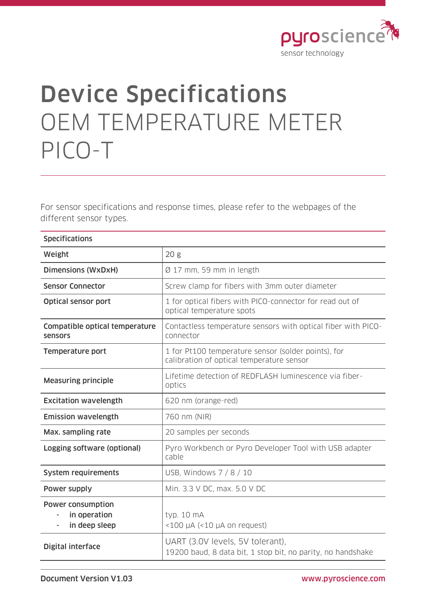

## Device Specifications OEM TEMPERATURE METER PICO-T

For sensor specifications and response times, please refer to the webpages of the different sensor types.

| <b>Specifications</b>                                                                 |                                                                                                  |
|---------------------------------------------------------------------------------------|--------------------------------------------------------------------------------------------------|
| Weight                                                                                | 20 <sub>g</sub>                                                                                  |
| <b>Dimensions (WxDxH)</b>                                                             | Ø 17 mm, 59 mm in length                                                                         |
| <b>Sensor Connector</b>                                                               | Screw clamp for fibers with 3mm outer diameter                                                   |
| <b>Optical sensor port</b>                                                            | 1 for optical fibers with PICO-connector for read out of<br>optical temperature spots            |
| Compatible optical temperature<br>sensors                                             | Contactless temperature sensors with optical fiber with PICO-<br>connector                       |
| <b>Temperature port</b>                                                               | 1 for Pt100 temperature sensor (solder points), for<br>calibration of optical temperature sensor |
| <b>Measuring principle</b>                                                            | Lifetime detection of REDFLASH luminescence via fiber-<br>optics                                 |
| <b>Excitation wavelength</b>                                                          | 620 nm (orange-red)                                                                              |
| <b>Emission wavelength</b>                                                            | 760 nm (NIR)                                                                                     |
| Max. sampling rate                                                                    | 20 samples per seconds                                                                           |
| Logging software (optional)                                                           | Pyro Workbench or Pyro Developer Tool with USB adapter<br>cable                                  |
| System requirements                                                                   | USB, Windows 7 / 8 / 10                                                                          |
| Power supply                                                                          | Min. 3.3 V DC, max. 5.0 V DC                                                                     |
| <b>Power consumption</b><br>in operation<br>$\overline{\phantom{a}}$<br>in deep sleep | typ. 10 mA<br>$<$ 100 µA $(<$ 10 µA on request)                                                  |
| Digital interface                                                                     | UART (3.0V levels, 5V tolerant),<br>19200 baud, 8 data bit, 1 stop bit, no parity, no handshake  |